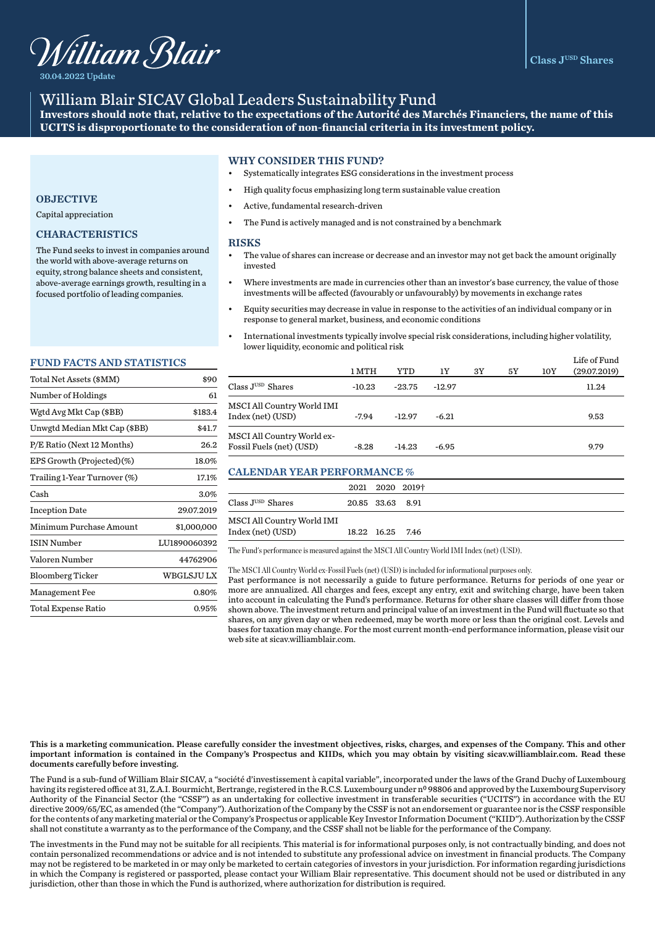

30.04.2022 Update

## William Blair SICAV Global Leaders Sustainability Fund

**Investors should note that, relative to the expectations of the Autorité des Marchés Financiers, the name of this UCITS is disproportionate to the consideration of non-financial criteria in its investment policy.** 

## WHY CONSIDER THIS FUND?

- Systematically integrates ESG considerations in the investment process
- High quality focus emphasizing long term sustainable value creation
- Active, fundamental research-driven
- The Fund is actively managed and is not constrained by a benchmark

#### **RISKS**

- The value of shares can increase or decrease and an investor may not get back the amount originally invested
- Where investments are made in currencies other than an investor's base currency, the value of those investments will be affected (favourably or unfavourably) by movements in exchange rates
- Equity securities may decrease in value in response to the activities of an individual company or in response to general market, business, and economic conditions
- International investments typically involve special risk considerations, including higher volatility, lower liquidity, economic and political risk

|                                                        | 1 MTH    | YTD      | 1Y       | 3Y | 5Y | 10Y | Life of Fund<br>(29.07.2019) |
|--------------------------------------------------------|----------|----------|----------|----|----|-----|------------------------------|
| Class J <sup>USD</sup> Shares                          | $-10.23$ | $-23.75$ | $-12.97$ |    |    |     | 11.24                        |
| MSCI All Country World IMI<br>Index (net) (USD)        | $-7.94$  | $-12.97$ | $-6.21$  |    |    |     | 9.53                         |
| MSCI All Country World ex-<br>Fossil Fuels (net) (USD) | $-8.28$  | $-14.23$ | $-6.95$  |    |    |     | 9.79                         |

## CALENDAR YEAR PERFORMANCE %

|                                               | 2021 2020 2019†  |  |  |  |
|-----------------------------------------------|------------------|--|--|--|
| Class $\mathrm{J}^{\text{\tiny{USD}}}$ Shares | 20.85 33.63 8.91 |  |  |  |
| MSCI All Country World IMI                    |                  |  |  |  |
| Index (net) (USD)                             | 18.22 16.25 7.46 |  |  |  |

The Fund's performance is measured against the MSCI All Country World IMI Index (net) (USD).

#### The MSCI All Country World ex-Fossil Fuels (net) (USD) is included for informational purposes only.

Past performance is not necessarily a guide to future performance. Returns for periods of one year or more are annualized. All charges and fees, except any entry, exit and switching charge, have been taken into account in calculating the Fund's performance. Returns for other share classes will differ from those shown above. The investment return and principal value of an investment in the Fund will fluctuate so that shares, on any given day or when redeemed, may be worth more or less than the original cost. Levels and bases for taxation may change. For the most current month-end performance information, please visit our web site at sicav.williamblair.com.

# **OBJECTIVE**

Capital appreciation

## CHARACTERISTICS

The Fund seeks to invest in companies around the world with above-average returns on equity, strong balance sheets and consistent, above-average earnings growth, resulting in a focused portfolio of leading companies.

#### FUND FACTS AND STATISTICS

| Total Net Assets (\$MM)      | \$90         |
|------------------------------|--------------|
| Number of Holdings           | 61           |
| Wgtd Avg Mkt Cap (\$BB)      | \$183.4      |
| Unwgtd Median Mkt Cap (\$BB) | \$41.7       |
| P/E Ratio (Next 12 Months)   | 26.2         |
| EPS Growth (Projected)(%)    | 18.0%        |
| Trailing 1-Year Turnover (%) | 17.1%        |
| Cash                         | 3.0%         |
| <b>Inception Date</b>        | 29.07.2019   |
| Minimum Purchase Amount      | \$1,000,000  |
| <b>ISIN Number</b>           | LU1890060392 |
| Valoren Number               | 44762906     |
| <b>Bloomberg Ticker</b>      | WBGLSJU LX   |
| <b>Management Fee</b>        | 0.80%        |
| Total Expense Ratio          | $0.95\%$     |

This is a marketing communication. Please carefully consider the investment objectives, risks, charges, and expenses of the Company. This and other important information is contained in the Company's Prospectus and KIIDs, which you may obtain by visiting sicav.williamblair.com. Read these documents carefully before investing.

The Fund is a sub-fund of William Blair SICAV, a "société d'investissement à capital variable", incorporated under the laws of the Grand Duchy of Luxembourg having its registered office at 31, Z.A.I. Bourmicht, Bertrange, registered in the R.C.S. Luxembourg under nº 98806 and approved by the Luxembourg Supervisory Authority of the Financial Sector (the "CSSF") as an undertaking for collective investment in transferable securities ("UCITS") in accordance with the EU directive 2009/65/EC, as amended (the "Company"). Authorization of the Company by the CSSF is not an endorsement or guarantee nor is the CSSF responsible for the contents of any marketing material or the Company's Prospectus or applicable Key Investor Information Document ("KIID"). Authorization by the CSSF shall not constitute a warranty as to the performance of the Company, and the CSSF shall not be liable for the performance of the Company.

The investments in the Fund may not be suitable for all recipients. This material is for informational purposes only, is not contractually binding, and does not contain personalized recommendations or advice and is not intended to substitute any professional advice on investment in financial products. The Company may not be registered to be marketed in or may only be marketed to certain categories of investors in your jurisdiction. For information regarding jurisdictions in which the Company is registered or passported, please contact your William Blair representative. This document should not be used or distributed in any jurisdiction, other than those in which the Fund is authorized, where authorization for distribution is required.